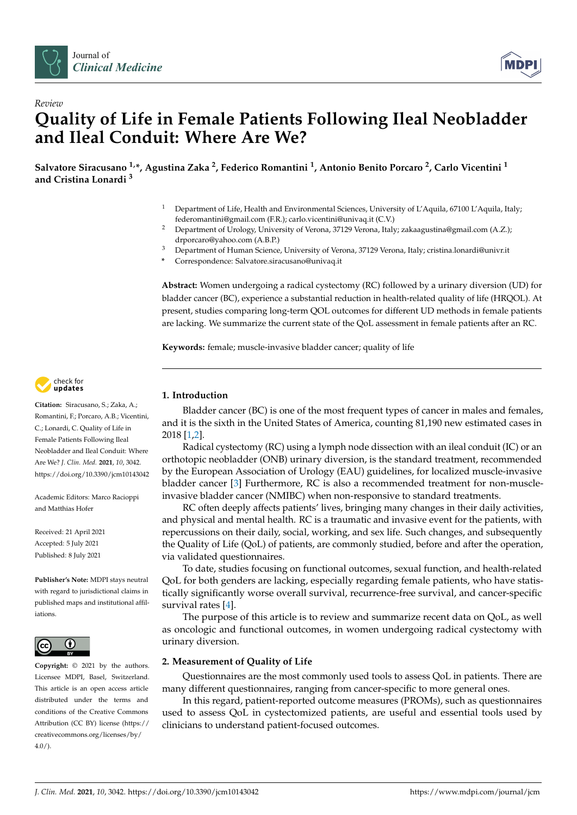



# *Review* **Quality of Life in Female Patients Following Ileal Neobladder and Ileal Conduit: Where Are We?**

**Salvatore Siracusano 1,\*, Agustina Zaka <sup>2</sup> , Federico Romantini <sup>1</sup> , Antonio Benito Porcaro <sup>2</sup> , Carlo Vicentini <sup>1</sup> and Cristina Lonardi <sup>3</sup>**

- <sup>1</sup> Department of Life, Health and Environmental Sciences, University of L'Aquila, 67100 L'Aquila, Italy; federomantini@gmail.com (F.R.); carlo.vicentini@univaq.it (C.V.)
- <sup>2</sup> Department of Urology, University of Verona, 37129 Verona, Italy; zakaagustina@gmail.com (A.Z.); drporcaro@yahoo.com (A.B.P.)
- <sup>3</sup> Department of Human Science, University of Verona, 37129 Verona, Italy; cristina.lonardi@univr.it
- **\*** Correspondence: Salvatore.siracusano@univaq.it

**Abstract:** Women undergoing a radical cystectomy (RC) followed by a urinary diversion (UD) for bladder cancer (BC), experience a substantial reduction in health-related quality of life (HRQOL). At present, studies comparing long-term QOL outcomes for different UD methods in female patients are lacking. We summarize the current state of the QoL assessment in female patients after an RC.

**Keywords:** female; muscle-invasive bladder cancer; quality of life



**Citation:** Siracusano, S.; Zaka, A.; Romantini, F.; Porcaro, A.B.; Vicentini, C.; Lonardi, C. Quality of Life in Female Patients Following Ileal Neobladder and Ileal Conduit: Where Are We? *J. Clin. Med.* **2021**, *10*, 3042. <https://doi.org/10.3390/jcm10143042>

Academic Editors: Marco Racioppi and Matthias Hofer

Received: 21 April 2021 Accepted: 5 July 2021 Published: 8 July 2021

**Publisher's Note:** MDPI stays neutral with regard to jurisdictional claims in published maps and institutional affiliations.



**Copyright:** © 2021 by the authors. Licensee MDPI, Basel, Switzerland. This article is an open access article distributed under the terms and conditions of the Creative Commons Attribution (CC BY) license (https:/[/](https://creativecommons.org/licenses/by/4.0/) [creativecommons.org/licenses/by/](https://creativecommons.org/licenses/by/4.0/)  $4.0/$ ).

# **1. Introduction**

Bladder cancer (BC) is one of the most frequent types of cancer in males and females, and it is the sixth in the United States of America, counting 81,190 new estimated cases in 2018 [\[1](#page-6-0)[,2\]](#page-6-1).

Radical cystectomy (RC) using a lymph node dissection with an ileal conduit (IC) or an orthotopic neobladder (ONB) urinary diversion, is the standard treatment, recommended by the European Association of Urology (EAU) guidelines, for localized muscle-invasive bladder cancer [\[3\]](#page-6-2) Furthermore, RC is also a recommended treatment for non-muscleinvasive bladder cancer (NMIBC) when non-responsive to standard treatments.

RC often deeply affects patients' lives, bringing many changes in their daily activities, and physical and mental health. RC is a traumatic and invasive event for the patients, with repercussions on their daily, social, working, and sex life. Such changes, and subsequently the Quality of Life (QoL) of patients, are commonly studied, before and after the operation, via validated questionnaires.

To date, studies focusing on functional outcomes, sexual function, and health-related QoL for both genders are lacking, especially regarding female patients, who have statistically significantly worse overall survival, recurrence-free survival, and cancer-specific survival rates [\[4\]](#page-6-3).

The purpose of this article is to review and summarize recent data on QoL, as well as oncologic and functional outcomes, in women undergoing radical cystectomy with urinary diversion.

## **2. Measurement of Quality of Life**

Questionnaires are the most commonly used tools to assess QoL in patients. There are many different questionnaires, ranging from cancer-specific to more general ones.

In this regard, patient-reported outcome measures (PROMs), such as questionnaires used to assess QoL in cystectomized patients, are useful and essential tools used by clinicians to understand patient-focused outcomes.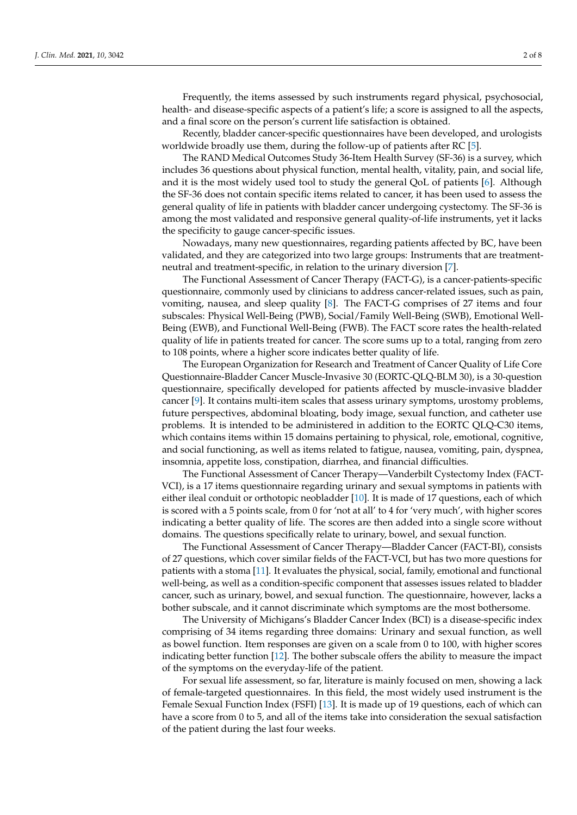Frequently, the items assessed by such instruments regard physical, psychosocial, health- and disease-specific aspects of a patient's life; a score is assigned to all the aspects, and a final score on the person's current life satisfaction is obtained.

Recently, bladder cancer-specific questionnaires have been developed, and urologists worldwide broadly use them, during the follow-up of patients after RC [\[5\]](#page-6-4).

The RAND Medical Outcomes Study 36-Item Health Survey (SF-36) is a survey, which includes 36 questions about physical function, mental health, vitality, pain, and social life, and it is the most widely used tool to study the general QoL of patients [\[6\]](#page-6-5). Although the SF-36 does not contain specific items related to cancer, it has been used to assess the general quality of life in patients with bladder cancer undergoing cystectomy. The SF-36 is among the most validated and responsive general quality-of-life instruments, yet it lacks the specificity to gauge cancer-specific issues.

Nowadays, many new questionnaires, regarding patients affected by BC, have been validated, and they are categorized into two large groups: Instruments that are treatmentneutral and treatment-specific, in relation to the urinary diversion [\[7\]](#page-6-6).

The Functional Assessment of Cancer Therapy (FACT-G), is a cancer-patients-specific questionnaire, commonly used by clinicians to address cancer-related issues, such as pain, vomiting, nausea, and sleep quality [\[8\]](#page-6-7). The FACT-G comprises of 27 items and four subscales: Physical Well-Being (PWB), Social/Family Well-Being (SWB), Emotional Well-Being (EWB), and Functional Well-Being (FWB). The FACT score rates the health-related quality of life in patients treated for cancer. The score sums up to a total, ranging from zero to 108 points, where a higher score indicates better quality of life.

The European Organization for Research and Treatment of Cancer Quality of Life Core Questionnaire-Bladder Cancer Muscle-Invasive 30 (EORTC-QLQ-BLM 30), is a 30-question questionnaire, specifically developed for patients affected by muscle-invasive bladder cancer [\[9\]](#page-6-8). It contains multi-item scales that assess urinary symptoms, urostomy problems, future perspectives, abdominal bloating, body image, sexual function, and catheter use problems. It is intended to be administered in addition to the EORTC QLQ-C30 items, which contains items within 15 domains pertaining to physical, role, emotional, cognitive, and social functioning, as well as items related to fatigue, nausea, vomiting, pain, dyspnea, insomnia, appetite loss, constipation, diarrhea, and financial difficulties.

The Functional Assessment of Cancer Therapy—Vanderbilt Cystectomy Index (FACT-VCI), is a 17 items questionnaire regarding urinary and sexual symptoms in patients with either ileal conduit or orthotopic neobladder [\[10\]](#page-6-9). It is made of 17 questions, each of which is scored with a 5 points scale, from 0 for 'not at all' to 4 for 'very much', with higher scores indicating a better quality of life. The scores are then added into a single score without domains. The questions specifically relate to urinary, bowel, and sexual function.

The Functional Assessment of Cancer Therapy—Bladder Cancer (FACT-BI), consists of 27 questions, which cover similar fields of the FACT-VCI, but has two more questions for patients with a stoma [\[11\]](#page-6-10). It evaluates the physical, social, family, emotional and functional well-being, as well as a condition-specific component that assesses issues related to bladder cancer, such as urinary, bowel, and sexual function. The questionnaire, however, lacks a bother subscale, and it cannot discriminate which symptoms are the most bothersome.

The University of Michigans's Bladder Cancer Index (BCI) is a disease-specific index comprising of 34 items regarding three domains: Urinary and sexual function, as well as bowel function. Item responses are given on a scale from 0 to 100, with higher scores indicating better function [\[12\]](#page-6-11). The bother subscale offers the ability to measure the impact of the symptoms on the everyday-life of the patient.

For sexual life assessment, so far, literature is mainly focused on men, showing a lack of female-targeted questionnaires. In this field, the most widely used instrument is the Female Sexual Function Index (FSFI) [\[13\]](#page-6-12). It is made up of 19 questions, each of which can have a score from 0 to 5, and all of the items take into consideration the sexual satisfaction of the patient during the last four weeks.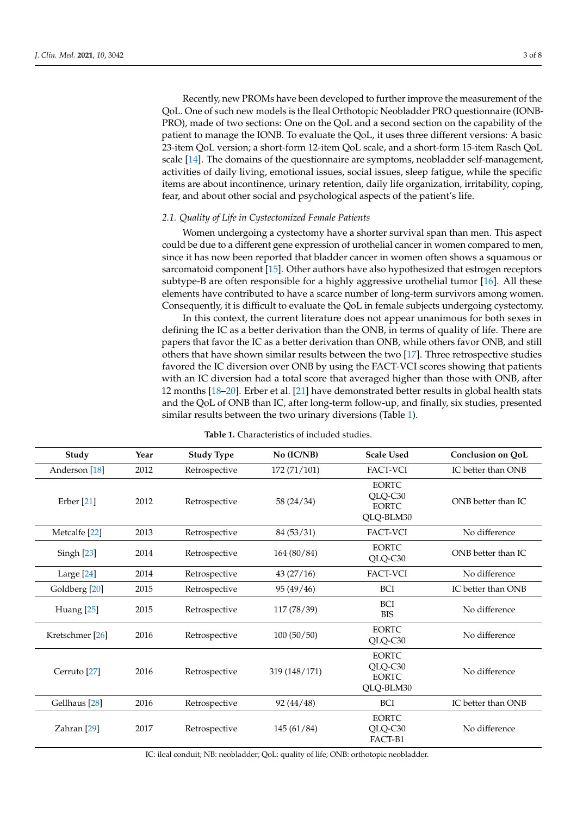Recently, new PROMs have been developed to further improve the measurement of the QoL. One of such new models is the Ileal Orthotopic Neobladder PRO questionnaire (IONB-PRO), made of two sections: One on the QoL and a second section on the capability of the patient to manage the IONB. To evaluate the QoL, it uses three different versions: A basic 23-item QoL version; a short-form 12-item QoL scale, and a short-form 15-item Rasch QoL scale [\[14\]](#page-6-13). The domains of the questionnaire are symptoms, neobladder self-management, activities of daily living, emotional issues, social issues, sleep fatigue, while the specific items are about incontinence, urinary retention, daily life organization, irritability, coping, fear, and about other social and psychological aspects of the patient's life.

## *2.1. Quality of Life in Cystectomized Female Patients*

Women undergoing a cystectomy have a shorter survival span than men. This aspect could be due to a different gene expression of urothelial cancer in women compared to men, since it has now been reported that bladder cancer in women often shows a squamous or sarcomatoid component [\[15\]](#page-6-14). Other authors have also hypothesized that estrogen receptors subtype-B are often responsible for a highly aggressive urothelial tumor [\[16\]](#page-6-15). All these elements have contributed to have a scarce number of long-term survivors among women. Consequently, it is difficult to evaluate the QoL in female subjects undergoing cystectomy.

In this context, the current literature does not appear unanimous for both sexes in defining the IC as a better derivation than the ONB, in terms of quality of life. There are papers that favor the IC as a better derivation than ONB, while others favor ONB, and still others that have shown similar results between the two [\[17\]](#page-6-16). Three retrospective studies favored the IC diversion over ONB by using the FACT-VCI scores showing that patients with an IC diversion had a total score that averaged higher than those with ONB, after 12 months [\[18](#page-6-17)[–20\]](#page-6-18). Erber et al. [\[21\]](#page-6-19) have demonstrated better results in global health stats and the QoL of ONB than IC, after long-term follow-up, and finally, six studies, presented similar results between the two urinary diversions (Table [1\)](#page-2-0).

<span id="page-2-0"></span>

| Study                      | Year | <b>Study Type</b> | No (IC/NB)    | <b>Scale Used</b>                                    | <b>Conclusion on QoL</b> |
|----------------------------|------|-------------------|---------------|------------------------------------------------------|--------------------------|
| Anderson <sup>[18]</sup>   | 2012 | Retrospective     | 172 (71/101)  | <b>FACT-VCI</b>                                      | IC better than ONB       |
| Erber <sup>[21]</sup>      | 2012 | Retrospective     | 58(24/34)     | <b>EORTC</b><br>QLQ-C30<br><b>EORTC</b><br>QLQ-BLM30 | ONB better than IC.      |
| Metcalfe <sup>[22]</sup>   | 2013 | Retrospective     | 84(53/31)     | FACT-VCI                                             | No difference            |
| Singh [23]                 | 2014 | Retrospective     | 164 (80/84)   | <b>EORTC</b><br>QLQ-C30                              | ONB better than IC       |
| Large [24]                 | 2014 | Retrospective     | 43(27/16)     | FACT-VCI                                             | No difference            |
| Goldberg [20]              | 2015 | Retrospective     | 95(49/46)     | <b>BCI</b>                                           | IC better than ONB       |
| Huang <sup>[25]</sup>      | 2015 | Retrospective     | 117(78/39)    | <b>BCI</b><br><b>BIS</b>                             | No difference            |
| Kretschmer <sup>[26]</sup> | 2016 | Retrospective     | 100(50/50)    | <b>EORTC</b><br>QLQ-C30                              | No difference            |
| Cerruto <sup>[27]</sup>    | 2016 | Retrospective     | 319 (148/171) | <b>EORTC</b><br>QLQ-C30<br><b>EORTC</b><br>QLQ-BLM30 | No difference            |
| Gellhaus <sup>[28]</sup>   | 2016 | Retrospective     | 92(44/48)     | <b>BCI</b>                                           | IC better than ONB       |
| Zahran <sup>[29]</sup>     | 2017 | Retrospective     | 145(61/84)    | <b>EORTC</b><br>QLQ-C30<br>FACT-B1                   | No difference            |

**Table 1.** Characteristics of included studies.

IC: ileal conduit; NB: neobladder; QoL: quality of life; ONB: orthotopic neobladder.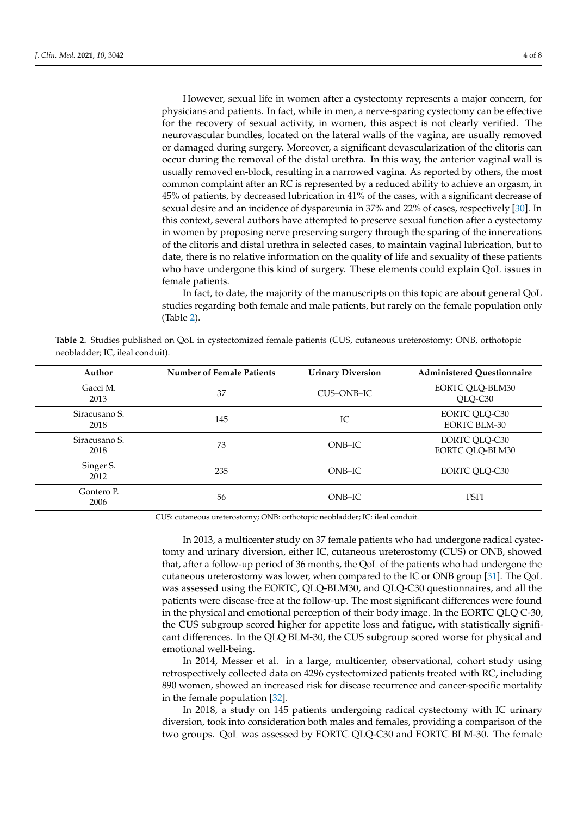However, sexual life in women after a cystectomy represents a major concern, for physicians and patients. In fact, while in men, a nerve-sparing cystectomy can be effective for the recovery of sexual activity, in women, this aspect is not clearly verified. The neurovascular bundles, located on the lateral walls of the vagina, are usually removed or damaged during surgery. Moreover, a significant devascularization of the clitoris can occur during the removal of the distal urethra. In this way, the anterior vaginal wall is usually removed en-block, resulting in a narrowed vagina. As reported by others, the most common complaint after an RC is represented by a reduced ability to achieve an orgasm, in 45% of patients, by decreased lubrication in 41% of the cases, with a significant decrease of sexual desire and an incidence of dyspareunia in 37% and 22% of cases, respectively [\[30\]](#page-7-5). In this context, several authors have attempted to preserve sexual function after a cystectomy in women by proposing nerve preserving surgery through the sparing of the innervations of the clitoris and distal urethra in selected cases, to maintain vaginal lubrication, but to date, there is no relative information on the quality of life and sexuality of these patients who have undergone this kind of surgery. These elements could explain QoL issues in female patients.

In fact, to date, the majority of the manuscripts on this topic are about general QoL studies regarding both female and male patients, but rarely on the female population only (Table [2\)](#page-3-0).

<span id="page-3-0"></span>**Table 2.** Studies published on QoL in cystectomized female patients (CUS, cutaneous ureterostomy; ONB, orthotopic neobladder; IC, ileal conduit).

| Author                | <b>Number of Female Patients</b> | <b>Urinary Diversion</b> | <b>Administered Questionnaire</b>           |
|-----------------------|----------------------------------|--------------------------|---------------------------------------------|
| Gacci M.<br>2013      | 37                               | CUS-ONB-IC               | EORTC QLQ-BLM30<br>QLQ-C30                  |
| Siracusano S.<br>2018 | 145                              | IC                       | <b>EORTC QLQ-C30</b><br><b>EORTC BLM-30</b> |
| Siracusano S.<br>2018 | 73                               | $ONB-IC$                 | EORTC QLQ-C30<br>EORTC QLQ-BLM30            |
| Singer S.<br>2012     | 235                              | $ONB-IC$                 | EORTC QLQ-C30                               |
| Gontero P.<br>2006    | 56                               | $ONB-IC$                 | <b>FSFI</b>                                 |

CUS: cutaneous ureterostomy; ONB: orthotopic neobladder; IC: ileal conduit.

In 2013, a multicenter study on 37 female patients who had undergone radical cystectomy and urinary diversion, either IC, cutaneous ureterostomy (CUS) or ONB, showed that, after a follow-up period of 36 months, the QoL of the patients who had undergone the cutaneous ureterostomy was lower, when compared to the IC or ONB group [\[31\]](#page-7-6). The QoL was assessed using the EORTC, QLQ-BLM30, and QLQ-C30 questionnaires, and all the patients were disease-free at the follow-up. The most significant differences were found in the physical and emotional perception of their body image. In the EORTC QLQ C-30, the CUS subgroup scored higher for appetite loss and fatigue, with statistically significant differences. In the QLQ BLM-30, the CUS subgroup scored worse for physical and emotional well-being.

In 2014, Messer et al. in a large, multicenter, observational, cohort study using retrospectively collected data on 4296 cystectomized patients treated with RC, including 890 women, showed an increased risk for disease recurrence and cancer-specific mortality in the female population [\[32\]](#page-7-7).

In 2018, a study on 145 patients undergoing radical cystectomy with IC urinary diversion, took into consideration both males and females, providing a comparison of the two groups. QoL was assessed by EORTC QLQ-C30 and EORTC BLM-30. The female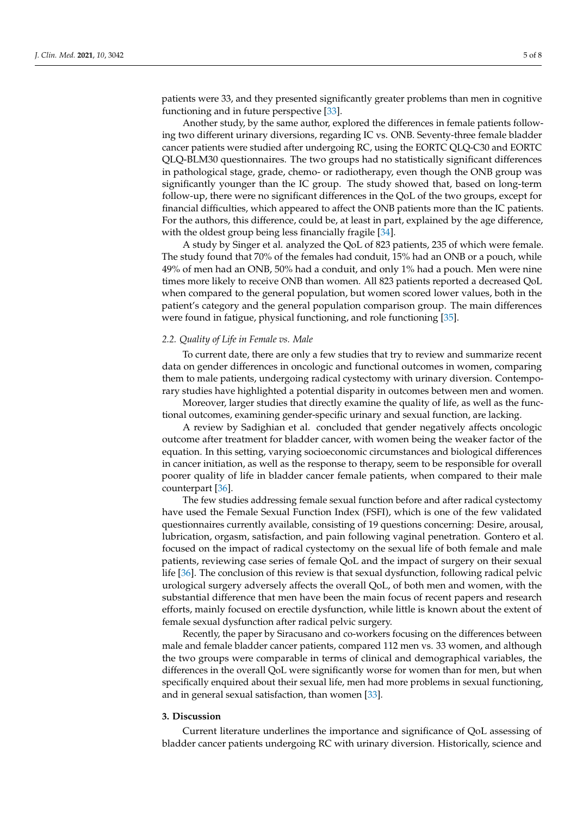patients were 33, and they presented significantly greater problems than men in cognitive functioning and in future perspective [\[33\]](#page-7-8).

Another study, by the same author, explored the differences in female patients following two different urinary diversions, regarding IC vs. ONB. Seventy-three female bladder cancer patients were studied after undergoing RC, using the EORTC QLQ-C30 and EORTC QLQ-BLM30 questionnaires. The two groups had no statistically significant differences in pathological stage, grade, chemo- or radiotherapy, even though the ONB group was significantly younger than the IC group. The study showed that, based on long-term follow-up, there were no significant differences in the QoL of the two groups, except for financial difficulties, which appeared to affect the ONB patients more than the IC patients. For the authors, this difference, could be, at least in part, explained by the age difference, with the oldest group being less financially fragile [\[34\]](#page-7-9).

A study by Singer et al. analyzed the QoL of 823 patients, 235 of which were female. The study found that 70% of the females had conduit, 15% had an ONB or a pouch, while 49% of men had an ONB, 50% had a conduit, and only 1% had a pouch. Men were nine times more likely to receive ONB than women. All 823 patients reported a decreased QoL when compared to the general population, but women scored lower values, both in the patient's category and the general population comparison group. The main differences were found in fatigue, physical functioning, and role functioning [\[35\]](#page-7-10).

#### *2.2. Quality of Life in Female vs. Male*

To current date, there are only a few studies that try to review and summarize recent data on gender differences in oncologic and functional outcomes in women, comparing them to male patients, undergoing radical cystectomy with urinary diversion. Contemporary studies have highlighted a potential disparity in outcomes between men and women.

Moreover, larger studies that directly examine the quality of life, as well as the functional outcomes, examining gender-specific urinary and sexual function, are lacking.

A review by Sadighian et al. concluded that gender negatively affects oncologic outcome after treatment for bladder cancer, with women being the weaker factor of the equation. In this setting, varying socioeconomic circumstances and biological differences in cancer initiation, as well as the response to therapy, seem to be responsible for overall poorer quality of life in bladder cancer female patients, when compared to their male counterpart [\[36\]](#page-7-11).

The few studies addressing female sexual function before and after radical cystectomy have used the Female Sexual Function Index (FSFI), which is one of the few validated questionnaires currently available, consisting of 19 questions concerning: Desire, arousal, lubrication, orgasm, satisfaction, and pain following vaginal penetration. Gontero et al. focused on the impact of radical cystectomy on the sexual life of both female and male patients, reviewing case series of female QoL and the impact of surgery on their sexual life [\[36\]](#page-7-11). The conclusion of this review is that sexual dysfunction, following radical pelvic urological surgery adversely affects the overall QoL, of both men and women, with the substantial difference that men have been the main focus of recent papers and research efforts, mainly focused on erectile dysfunction, while little is known about the extent of female sexual dysfunction after radical pelvic surgery.

Recently, the paper by Siracusano and co-workers focusing on the differences between male and female bladder cancer patients, compared 112 men vs. 33 women, and although the two groups were comparable in terms of clinical and demographical variables, the differences in the overall QoL were significantly worse for women than for men, but when specifically enquired about their sexual life, men had more problems in sexual functioning, and in general sexual satisfaction, than women [\[33\]](#page-7-8).

#### **3. Discussion**

Current literature underlines the importance and significance of QoL assessing of bladder cancer patients undergoing RC with urinary diversion. Historically, science and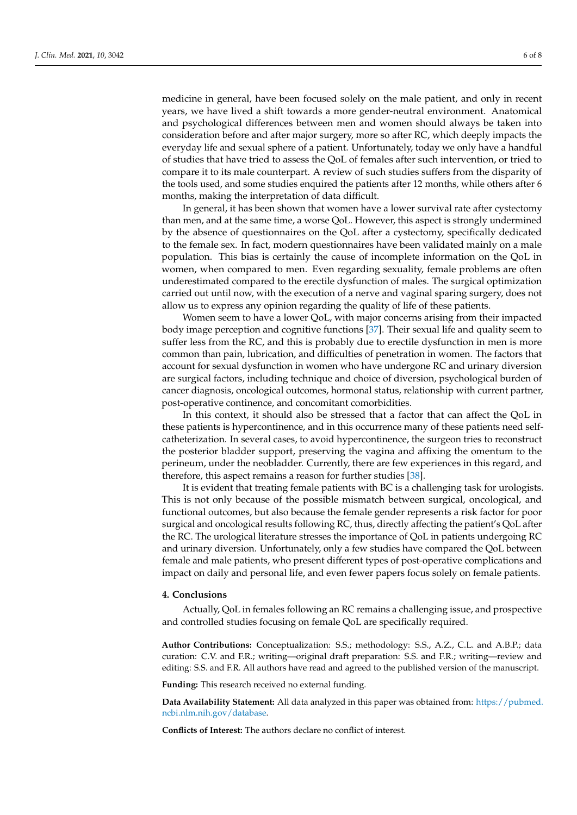medicine in general, have been focused solely on the male patient, and only in recent years, we have lived a shift towards a more gender-neutral environment. Anatomical and psychological differences between men and women should always be taken into consideration before and after major surgery, more so after RC, which deeply impacts the everyday life and sexual sphere of a patient. Unfortunately, today we only have a handful of studies that have tried to assess the QoL of females after such intervention, or tried to compare it to its male counterpart. A review of such studies suffers from the disparity of the tools used, and some studies enquired the patients after 12 months, while others after 6 months, making the interpretation of data difficult.

In general, it has been shown that women have a lower survival rate after cystectomy than men, and at the same time, a worse QoL. However, this aspect is strongly undermined by the absence of questionnaires on the QoL after a cystectomy, specifically dedicated to the female sex. In fact, modern questionnaires have been validated mainly on a male population. This bias is certainly the cause of incomplete information on the QoL in women, when compared to men. Even regarding sexuality, female problems are often underestimated compared to the erectile dysfunction of males. The surgical optimization carried out until now, with the execution of a nerve and vaginal sparing surgery, does not allow us to express any opinion regarding the quality of life of these patients.

Women seem to have a lower QoL, with major concerns arising from their impacted body image perception and cognitive functions [\[37\]](#page-7-12). Their sexual life and quality seem to suffer less from the RC, and this is probably due to erectile dysfunction in men is more common than pain, lubrication, and difficulties of penetration in women. The factors that account for sexual dysfunction in women who have undergone RC and urinary diversion are surgical factors, including technique and choice of diversion, psychological burden of cancer diagnosis, oncological outcomes, hormonal status, relationship with current partner, post-operative continence, and concomitant comorbidities.

In this context, it should also be stressed that a factor that can affect the QoL in these patients is hypercontinence, and in this occurrence many of these patients need selfcatheterization. In several cases, to avoid hypercontinence, the surgeon tries to reconstruct the posterior bladder support, preserving the vagina and affixing the omentum to the perineum, under the neobladder. Currently, there are few experiences in this regard, and therefore, this aspect remains a reason for further studies [\[38\]](#page-7-13).

It is evident that treating female patients with BC is a challenging task for urologists. This is not only because of the possible mismatch between surgical, oncological, and functional outcomes, but also because the female gender represents a risk factor for poor surgical and oncological results following RC, thus, directly affecting the patient's QoL after the RC. The urological literature stresses the importance of QoL in patients undergoing RC and urinary diversion. Unfortunately, only a few studies have compared the QoL between female and male patients, who present different types of post-operative complications and impact on daily and personal life, and even fewer papers focus solely on female patients.

### **4. Conclusions**

Actually, QoL in females following an RC remains a challenging issue, and prospective and controlled studies focusing on female QoL are specifically required.

**Author Contributions:** Conceptualization: S.S.; methodology: S.S., A.Z., C.L. and A.B.P.; data curation: C.V. and F.R.; writing—original draft preparation: S.S. and F.R.; writing—review and editing: S.S. and F.R. All authors have read and agreed to the published version of the manuscript.

**Funding:** This research received no external funding.

**Data Availability Statement:** All data analyzed in this paper was obtained from: [https://pubmed.](https://pubmed.ncbi.nlm.nih.gov/database) [ncbi.nlm.nih.gov/database.](https://pubmed.ncbi.nlm.nih.gov/database)

**Conflicts of Interest:** The authors declare no conflict of interest.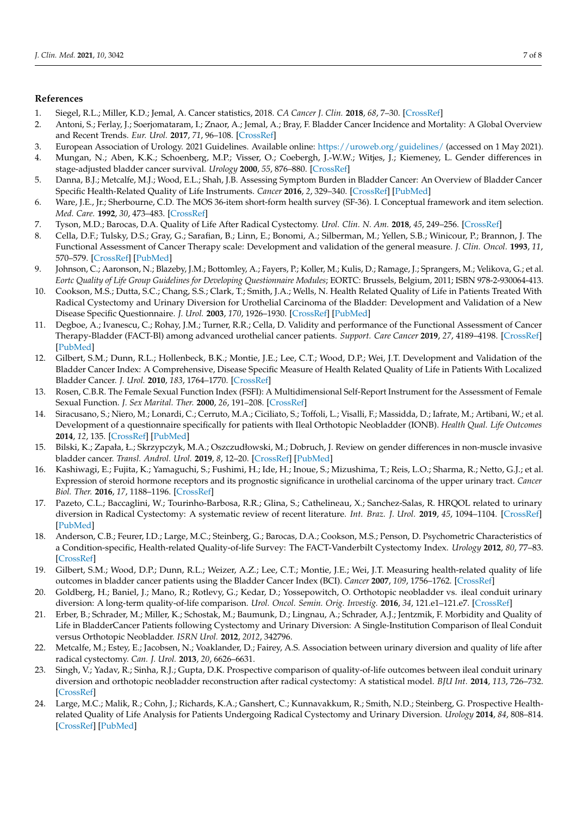## **References**

- <span id="page-6-0"></span>1. Siegel, R.L.; Miller, K.D.; Jemal, A. Cancer statistics, 2018. *CA Cancer J. Clin.* **2018**, *68*, 7–30. [\[CrossRef\]](http://doi.org/10.3322/caac.21442)
- <span id="page-6-1"></span>2. Antoni, S.; Ferlay, J.; Soerjomataram, I.; Znaor, A.; Jemal, A.; Bray, F. Bladder Cancer Incidence and Mortality: A Global Overview and Recent Trends. *Eur. Urol.* **2017**, *71*, 96–108. [\[CrossRef\]](http://doi.org/10.1016/j.eururo.2016.06.010)
- <span id="page-6-2"></span>3. European Association of Urology. 2021 Guidelines. Available online: <https://uroweb.org/guidelines/> (accessed on 1 May 2021).
- <span id="page-6-3"></span>4. Mungan, N.; Aben, K.K.; Schoenberg, M.P.; Visser, O.; Coebergh, J.-W.W.; Witjes, J.; Kiemeney, L. Gender differences in stage-adjusted bladder cancer survival. *Urology* **2000**, *55*, 876–880. [\[CrossRef\]](http://doi.org/10.1016/S0090-4295(00)00523-9)
- <span id="page-6-4"></span>5. Danna, B.J.; Metcalfe, M.J.; Wood, E.L.; Shah, J.B. Assessing Symptom Burden in Bladder Cancer: An Overview of Bladder Cancer Specific Health-Related Quality of Life Instruments. *Cancer* **2016**, *2*, 329–340. [\[CrossRef\]](http://doi.org/10.3233/BLC-160057) [\[PubMed\]](http://www.ncbi.nlm.nih.gov/pubmed/27500200)
- <span id="page-6-5"></span>6. Ware, J.E., Jr.; Sherbourne, C.D. The MOS 36-item short-form health survey (SF-36). I. Conceptual framework and item selection. *Med. Care.* **1992**, *30*, 473–483. [\[CrossRef\]](http://doi.org/10.1097/00005650-199206000-00002)
- <span id="page-6-6"></span>7. Tyson, M.D.; Barocas, D.A. Quality of Life After Radical Cystectomy. *Urol. Clin. N. Am.* **2018**, *45*, 249–256. [\[CrossRef\]](http://doi.org/10.1016/j.ucl.2017.12.008)
- <span id="page-6-7"></span>8. Cella, D.F.; Tulsky, D.S.; Gray, G.; Sarafian, B.; Linn, E.; Bonomi, A.; Silberman, M.; Yellen, S.B.; Winicour, P.; Brannon, J. The Functional Assessment of Cancer Therapy scale: Development and validation of the general measure. *J. Clin. Oncol.* **1993**, *11*, 570–579. [\[CrossRef\]](http://doi.org/10.1200/JCO.1993.11.3.570) [\[PubMed\]](http://www.ncbi.nlm.nih.gov/pubmed/8445433)
- <span id="page-6-8"></span>9. Johnson, C.; Aaronson, N.; Blazeby, J.M.; Bottomley, A.; Fayers, P.; Koller, M.; Kulis, D.; Ramage, J.; Sprangers, M.; Velikova, G.; et al. *Eortc Quality of Life Group Guidelines for Developing Questionnaire Modules*; EORTC: Brussels, Belgium, 2011; ISBN 978-2-930064-413.
- <span id="page-6-9"></span>10. Cookson, M.S.; Dutta, S.C.; Chang, S.S.; Clark, T.; Smith, J.A.; Wells, N. Health Related Quality of Life in Patients Treated With Radical Cystectomy and Urinary Diversion for Urothelial Carcinoma of the Bladder: Development and Validation of a New Disease Specific Questionnaire. *J. Urol.* **2003**, *170*, 1926–1930. [\[CrossRef\]](http://doi.org/10.1097/01.ju.0000092830.03247.ef) [\[PubMed\]](http://www.ncbi.nlm.nih.gov/pubmed/14532809)
- <span id="page-6-10"></span>11. Degboe, A.; Ivanescu, C.; Rohay, J.M.; Turner, R.R.; Cella, D. Validity and performance of the Functional Assessment of Cancer Therapy-Bladder (FACT-Bl) among advanced urothelial cancer patients. *Support. Care Cancer* **2019**, *27*, 4189–4198. [\[CrossRef\]](http://doi.org/10.1007/s00520-019-04709-0) [\[PubMed\]](http://www.ncbi.nlm.nih.gov/pubmed/30825026)
- <span id="page-6-11"></span>12. Gilbert, S.M.; Dunn, R.L.; Hollenbeck, B.K.; Montie, J.E.; Lee, C.T.; Wood, D.P.; Wei, J.T. Development and Validation of the Bladder Cancer Index: A Comprehensive, Disease Specific Measure of Health Related Quality of Life in Patients With Localized Bladder Cancer. *J. Urol.* **2010**, *183*, 1764–1770. [\[CrossRef\]](http://doi.org/10.1016/j.juro.2010.01.013)
- <span id="page-6-12"></span>13. Rosen, C.B.R. The Female Sexual Function Index (FSFI): A Multidimensional Self-Report Instrument for the Assessment of Female Sexual Function. *J. Sex Marital. Ther.* **2000**, *26*, 191–208. [\[CrossRef\]](http://doi.org/10.1080/009262300278597)
- <span id="page-6-13"></span>14. Siracusano, S.; Niero, M.; Lonardi, C.; Cerruto, M.A.; Ciciliato, S.; Toffoli, L.; Visalli, F.; Massidda, D.; Iafrate, M.; Artibani, W.; et al. Development of a questionnaire specifically for patients with Ileal Orthotopic Neobladder (IONB). *Health Qual. Life Outcomes* **2014**, *12*, 135. [\[CrossRef\]](http://doi.org/10.1186/s12955-014-0135-y) [\[PubMed\]](http://www.ncbi.nlm.nih.gov/pubmed/25174344)
- <span id="page-6-14"></span>15. Bilski, K.; Zapała, Ł.; Skrzypczyk, M.A.; Oszczudłowski, M.; Dobruch, J. Review on gender differences in non-muscle invasive bladder cancer. *Transl. Androl. Urol.* **2019**, *8*, 12–20. [\[CrossRef\]](http://doi.org/10.21037/tau.2018.11.06) [\[PubMed\]](http://www.ncbi.nlm.nih.gov/pubmed/30976563)
- <span id="page-6-15"></span>16. Kashiwagi, E.; Fujita, K.; Yamaguchi, S.; Fushimi, H.; Ide, H.; Inoue, S.; Mizushima, T.; Reis, L.O.; Sharma, R.; Netto, G.J.; et al. Expression of steroid hormone receptors and its prognostic significance in urothelial carcinoma of the upper urinary tract. *Cancer Biol. Ther.* **2016**, *17*, 1188–1196. [\[CrossRef\]](http://doi.org/10.1080/15384047.2016.1235667)
- <span id="page-6-16"></span>17. Pazeto, C.L.; Baccaglini, W.; Tourinho-Barbosa, R.R.; Glina, S.; Cathelineau, X.; Sanchez-Salas, R. HRQOL related to urinary diversion in Radical Cystectomy: A systematic review of recent literature. *Int. Braz. J. Urol.* **2019**, *45*, 1094–1104. [\[CrossRef\]](http://doi.org/10.1590/s1677-5538.ibju.2018.0858) [\[PubMed\]](http://www.ncbi.nlm.nih.gov/pubmed/31808396)
- <span id="page-6-17"></span>18. Anderson, C.B.; Feurer, I.D.; Large, M.C.; Steinberg, G.; Barocas, D.A.; Cookson, M.S.; Penson, D. Psychometric Characteristics of a Condition-specific, Health-related Quality-of-life Survey: The FACT-Vanderbilt Cystectomy Index. *Urology* **2012**, *80*, 77–83. [\[CrossRef\]](http://doi.org/10.1016/j.urology.2012.01.090)
- 19. Gilbert, S.M.; Wood, D.P.; Dunn, R.L.; Weizer, A.Z.; Lee, C.T.; Montie, J.E.; Wei, J.T. Measuring health-related quality of life outcomes in bladder cancer patients using the Bladder Cancer Index (BCI). *Cancer* **2007**, *109*, 1756–1762. [\[CrossRef\]](http://doi.org/10.1002/cncr.22556)
- <span id="page-6-18"></span>20. Goldberg, H.; Baniel, J.; Mano, R.; Rotlevy, G.; Kedar, D.; Yossepowitch, O. Orthotopic neobladder vs. ileal conduit urinary diversion: A long-term quality-of-life comparison. *Urol. Oncol. Semin. Orig. Investig.* **2016**, *34*, 121.e1–121.e7. [\[CrossRef\]](http://doi.org/10.1016/j.urolonc.2015.10.006)
- <span id="page-6-19"></span>21. Erber, B.; Schrader, M.; Miller, K.; Schostak, M.; Baumunk, D.; Lingnau, A.; Schrader, A.J.; Jentzmik, F. Morbidity and Quality of Life in BladderCancer Patients following Cystectomy and Urinary Diversion: A Single-Institution Comparison of Ileal Conduit versus Orthotopic Neobladder. *ISRN Urol.* **2012**, *2012*, 342796.
- <span id="page-6-20"></span>22. Metcalfe, M.; Estey, E.; Jacobsen, N.; Voaklander, D.; Fairey, A.S. Association between urinary diversion and quality of life after radical cystectomy. *Can. J. Urol.* **2013**, *20*, 6626–6631.
- <span id="page-6-21"></span>23. Singh, V.; Yadav, R.; Sinha, R.J.; Gupta, D.K. Prospective comparison of quality-of-life outcomes between ileal conduit urinary diversion and orthotopic neobladder reconstruction after radical cystectomy: A statistical model. *BJU Int.* **2014**, *113*, 726–732. [\[CrossRef\]](http://doi.org/10.1111/bju.12440)
- <span id="page-6-22"></span>24. Large, M.C.; Malik, R.; Cohn, J.; Richards, K.A.; Ganshert, C.; Kunnavakkum, R.; Smith, N.D.; Steinberg, G. Prospective Healthrelated Quality of Life Analysis for Patients Undergoing Radical Cystectomy and Urinary Diversion. *Urology* **2014**, *84*, 808–814. [\[CrossRef\]](http://doi.org/10.1016/j.urology.2014.05.046) [\[PubMed\]](http://www.ncbi.nlm.nih.gov/pubmed/25109565)